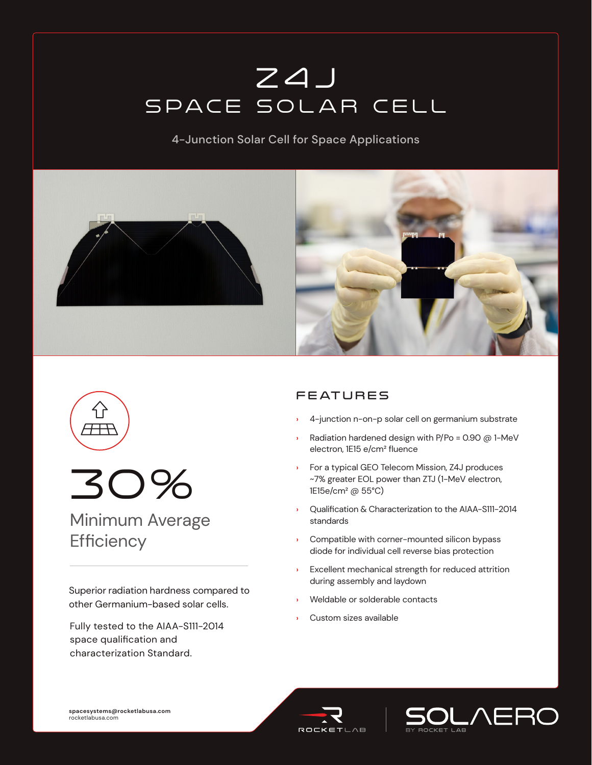# z4j SPACE SOLAR CELL

4-Junction Solar Cell for Space Applications







Minimum Average **Efficiency** 

Superior radiation hardness compared to other Germanium-based solar cells.

Fully tested to the AIAA-S111-2014 space qualification and characterization Standard.

# **FEATURES**

- **›** 4-junction n-on-p solar cell on germanium substrate
- **›** Radiation hardened design with P/Po = 0.90 @ 1-MeV electron, 1E15 e/cm² fluence
- **›** For a typical GEO Telecom Mission, Z4J produces ~7% greater EOL power than ZTJ (1-MeV electron, 1E15e/cm² @ 55°C)
- **›** Qualification & Characterization to the AIAA-S111-2014 standards
- **›** Compatible with corner-mounted silicon bypass diode for individual cell reverse bias protection
- **›** Excellent mechanical strength for reduced attrition during assembly and laydown
- **›** Weldable or solderable contacts
- **›** Custom sizes available